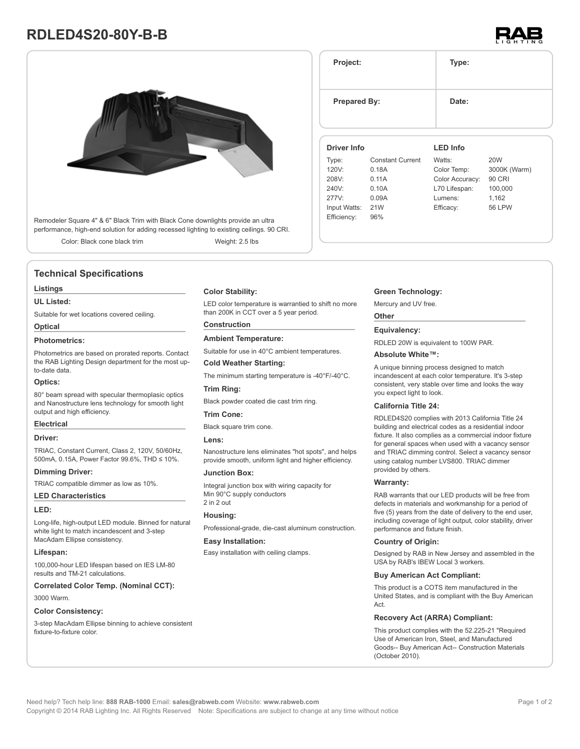# **RDLED4S20-80Y-B-B**



Remodeler Square 4" & 6" Black Trim with Black Cone downlights provide an ultra performance, high-end solution for adding recessed lighting to existing ceilings. 90 CRI.

Color: Black cone black trim Weight: 2.5 lbs

# **Technical Specifications**

#### **Listings**

#### **UL Listed:**

Suitable for wet locations covered ceiling.

# **Optical**

# **Photometrics:**

Photometrics are based on prorated reports. Contact the RAB Lighting Design department for the most upto-date data.

#### **Optics:**

80° beam spread with specular thermoplasic optics and Nanostructure lens technology for smooth light output and high efficiency.

#### **Electrical**

#### **Driver:**

TRIAC, Constant Current, Class 2, 120V, 50/60Hz, 500mA, 0.15A, Power Factor 99.6%, THD ≤ 10%.

#### **Dimming Driver:**

TRIAC compatible dimmer as low as 10%.

# **LED Characteristics**

# **LED:**

Long-life, high-output LED module. Binned for natural white light to match incandescent and 3-step MacAdam Ellipse consistency.

#### **Lifespan:**

100,000-hour LED lifespan based on IES LM-80 results and TM-21 calculations.

**Correlated Color Temp. (Nominal CCT):**

#### 3000 Warm.

#### **Color Consistency:**

3-step MacAdam Ellipse binning to achieve consistent fixture-to-fixture color.

#### **Color Stability:**

LED color temperature is warrantied to shift no more than 200K in CCT over a 5 year period.

# **Construction**

#### **Ambient Temperature:**

Suitable for use in 40°C ambient temperatures.

#### **Cold Weather Starting:**

The minimum starting temperature is -40°F/-40°C.

### **Trim Ring:**

Black powder coated die cast trim ring.

#### **Trim Cone:**

Black square trim cone.

#### **Lens:**

Nanostructure lens eliminates "hot spots", and helps provide smooth, uniform light and higher efficiency.

#### **Junction Box:**

Integral junction box with wiring capacity for Min 90°C supply conductors 2 in 2 out

#### **Housing:**

Professional-grade, die-cast aluminum construction.

#### **Easy Installation:**

Easy installation with ceiling clamps.

# **Green Technology:**

Mercury and UV free.

#### **Other**

#### **Equivalency:**

RDLED 20W is equivalent to 100W PAR.

#### **Absolute White™:**

A unique binning process designed to match incandescent at each color temperature. It's 3-step consistent, very stable over time and looks the way you expect light to look.

#### **California Title 24:**

RDLED4S20 complies with 2013 California Title 24 building and electrical codes as a residential indoor fixture. It also complies as a commercial indoor fixture for general spaces when used with a vacancy sensor and TRIAC dimming control. Select a vacancy sensor using catalog number LVS800. TRIAC dimmer provided by others.

#### **Warranty:**

RAB warrants that our LED products will be free from defects in materials and workmanship for a period of five (5) years from the date of delivery to the end user, including coverage of light output, color stability, driver performance and fixture finish.

#### **Country of Origin:**

Designed by RAB in New Jersey and assembled in the USA by RAB's IBEW Local 3 workers.

#### **Buy American Act Compliant:**

This product is a COTS item manufactured in the United States, and is compliant with the Buy American Act.

# **Recovery Act (ARRA) Compliant:**

This product complies with the 52.225-21 "Required Use of American Iron, Steel, and Manufactured Goods-- Buy American Act-- Construction Materials (October 2010).



**Project: Type: Prepared By:** Date: **Driver Info** Type: Constant Current 120V: 0.18A 208V: 0.11A 240V: 0.10A 277V: 0.09A Input Watts: 21W Efficiency: 96% **LED Info** Watts: 20W Color Temp: 3000K (Warm) Color Accuracy: 90 CRI L70 Lifespan: 100,000 Lumens: 1,162 Efficacy: 56 LPW